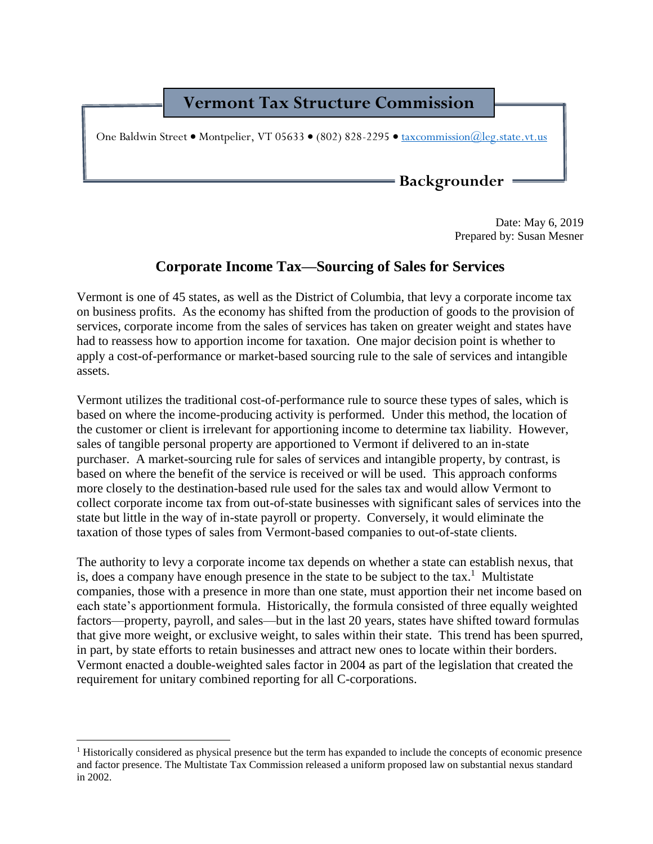## **Vermont Tax Structure Commission**

One Baldwin Street • Montpelier, VT 05633 • (802) 828-2295 • [taxcommission@leg.state.vt.us](mailto:taxcommission@leg.state.vt.us)

**Backgrounder**

Date: May 6, 2019 Prepared by: Susan Mesner

## **Corporate Income Tax—Sourcing of Sales for Services**

Vermont is one of 45 states, as well as the District of Columbia, that levy a corporate income tax on business profits. As the economy has shifted from the production of goods to the provision of services, corporate income from the sales of services has taken on greater weight and states have had to reassess how to apportion income for taxation. One major decision point is whether to apply a cost-of-performance or market-based sourcing rule to the sale of services and intangible assets.

Vermont utilizes the traditional cost-of-performance rule to source these types of sales, which is based on where the income-producing activity is performed. Under this method, the location of the customer or client is irrelevant for apportioning income to determine tax liability. However, sales of tangible personal property are apportioned to Vermont if delivered to an in-state purchaser. A market-sourcing rule for sales of services and intangible property, by contrast, is based on where the benefit of the service is received or will be used. This approach conforms more closely to the destination-based rule used for the sales tax and would allow Vermont to collect corporate income tax from out-of-state businesses with significant sales of services into the state but little in the way of in-state payroll or property. Conversely, it would eliminate the taxation of those types of sales from Vermont-based companies to out-of-state clients.

The authority to levy a corporate income tax depends on whether a state can establish nexus, that is, does a company have enough presence in the state to be subject to the tax.<sup>1</sup> Multistate companies, those with a presence in more than one state, must apportion their net income based on each state's apportionment formula. Historically, the formula consisted of three equally weighted factors—property, payroll, and sales—but in the last 20 years, states have shifted toward formulas that give more weight, or exclusive weight, to sales within their state. This trend has been spurred, in part, by state efforts to retain businesses and attract new ones to locate within their borders. Vermont enacted a double-weighted sales factor in 2004 as part of the legislation that created the requirement for unitary combined reporting for all C-corporations.

 $\overline{a}$ 

<sup>1</sup> Historically considered as physical presence but the term has expanded to include the concepts of economic presence and factor presence. The Multistate Tax Commission released a uniform proposed law on substantial nexus standard in 2002.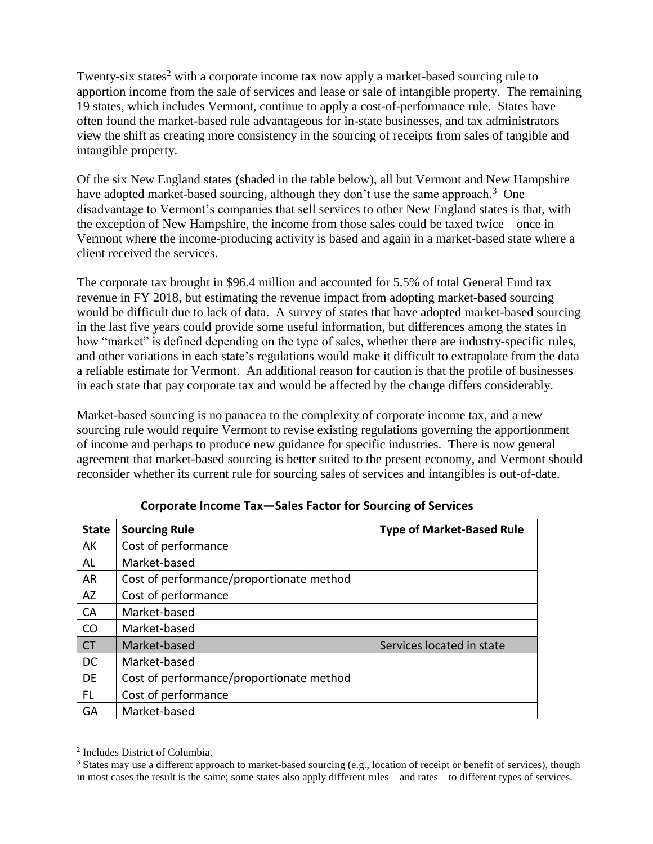Twenty-six states<sup>2</sup> with a corporate income tax now apply a market-based sourcing rule to apportion income from the sale of services and lease or sale of intangible property. The remaining 19 states, which includes Vermont, continue to apply a cost-of-performance rule. States have often found the market-based rule advantageous for in-state businesses, and tax administrators view the shift as creating more consistency in the sourcing of receipts from sales of tangible and intangible property.

Of the six New England states (shaded in the table below), all but Vermont and New Hampshire have adopted market-based sourcing, although they don't use the same approach.<sup>3</sup> One disadvantage to Vermont's companies that sell services to other New England states is that, with the exception of New Hampshire, the income from those sales could be taxed twice—once in Vermont where the income-producing activity is based and again in a market-based state where a client received the services.

The corporate tax brought in \$96.4 million and accounted for 5.5% of total General Fund tax revenue in FY 2018, but estimating the revenue impact from adopting market-based sourcing would be difficult due to lack of data. A survey of states that have adopted market-based sourcing in the last five years could provide some useful information, but differences among the states in how "market" is defined depending on the type of sales, whether there are industry-specific rules, and other variations in each state's regulations would make it difficult to extrapolate from the data a reliable estimate for Vermont. An additional reason for caution is that the profile of businesses in each state that pay corporate tax and would be affected by the change differs considerably.

Market-based sourcing is no panacea to the complexity of corporate income tax, and a new sourcing rule would require Vermont to revise existing regulations governing the apportionment of income and perhaps to produce new guidance for specific industries. There is now general agreement that market-based sourcing is better suited to the present economy, and Vermont should reconsider whether its current rule for sourcing sales of services and intangibles is out-of-date.

| <b>State</b> | <b>Sourcing Rule</b>                     | <b>Type of Market-Based Rule</b> |
|--------------|------------------------------------------|----------------------------------|
| AK           | Cost of performance                      |                                  |
| AL           | Market-based                             |                                  |
| <b>AR</b>    | Cost of performance/proportionate method |                                  |
| <b>AZ</b>    | Cost of performance                      |                                  |
| CA           | Market-based                             |                                  |
| CO           | Market-based                             |                                  |
| <b>CT</b>    | Market-based                             | Services located in state        |
| <b>DC</b>    | Market-based                             |                                  |
| <b>DE</b>    | Cost of performance/proportionate method |                                  |
| FL           | Cost of performance                      |                                  |
| GA           | Market-based                             |                                  |

**Corporate Income Tax—Sales Factor for Sourcing of Services**

 $\overline{a}$ 

<sup>2</sup> Includes District of Columbia.

<sup>&</sup>lt;sup>3</sup> States may use a different approach to market-based sourcing (e.g., location of receipt or benefit of services), though in most cases the result is the same; some states also apply different rules—and rates—to different types of services.